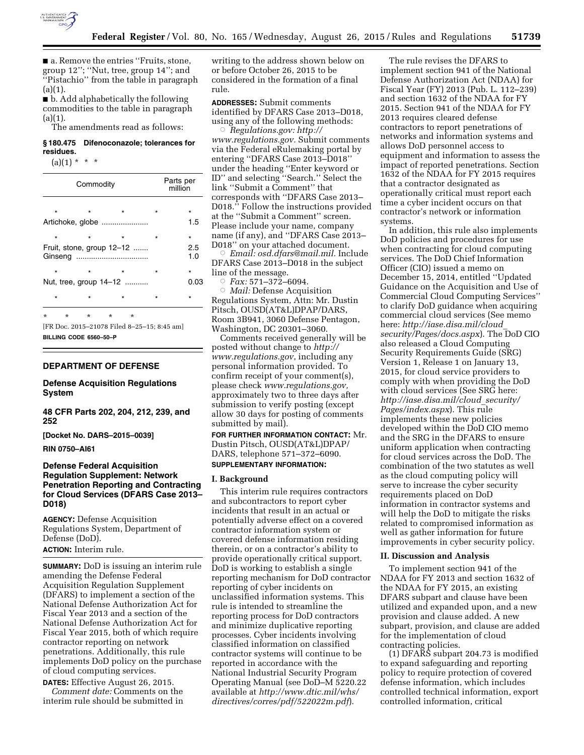

■ a. Remove the entries "Fruits, stone, group 12''; ''Nut, tree, group 14''; and ''Pistachio'' from the table in paragraph  $(a)(1)$ .

■ **b.** Add alphabetically the following commodities to the table in paragraph  $(a)(1)$ .

The amendments read as follows:

# **§ 180.475 Difenoconazole; tolerances for residues.**

 $(a)(1) * * * *$ 

| Commodity                 |         |                                                                                     |         | Parts per<br>million |  |
|---------------------------|---------|-------------------------------------------------------------------------------------|---------|----------------------|--|
| $\star$                   | $\star$ |                                                                                     | $\star$ | $\star$              |  |
| Artichoke, globe          |         |                                                                                     |         | 1.5                  |  |
| $\star$                   | $\star$ | $\star$                                                                             | $\star$ | $\star$              |  |
| Fruit, stone, group 12-12 |         |                                                                                     |         | 2.5<br>1.0           |  |
| $\star$                   | $\star$ | $\star$                                                                             | $\star$ | $\star$              |  |
| Nut, tree, group 14–12    |         |                                                                                     |         | 0.03                 |  |
| $\star$                   | $\star$ | $\star$                                                                             | $\star$ | $\star$              |  |
| $\star$<br>$\star$        | $\star$ | $\star$<br>$\star$                                                                  |         |                      |  |
|                           |         | $[FD \text{ } D_{00} \text{ } 2015 \text{ } 21079 \text{ } E1]$ od 9.5 15: 9:45 aml |         |                      |  |

[FR Doc. 2015–21078 Filed 8–25–15; 8:45 am] **BILLING CODE 6560–50–P** 

## **DEPARTMENT OF DEFENSE**

# **Defense Acquisition Regulations System**

**48 CFR Parts 202, 204, 212, 239, and 252** 

**[Docket No. DARS–2015–0039]** 

## **RIN 0750–AI61**

# **Defense Federal Acquisition Regulation Supplement: Network Penetration Reporting and Contracting for Cloud Services (DFARS Case 2013– D018)**

**AGENCY:** Defense Acquisition Regulations System, Department of Defense (DoD).

# **ACTION:** Interim rule.

**SUMMARY:** DoD is issuing an interim rule amending the Defense Federal Acquisition Regulation Supplement (DFARS) to implement a section of the National Defense Authorization Act for Fiscal Year 2013 and a section of the National Defense Authorization Act for Fiscal Year 2015, both of which require contractor reporting on network penetrations. Additionally, this rule implements DoD policy on the purchase of cloud computing services.

**DATES:** Effective August 26, 2015. *Comment date:* Comments on the interim rule should be submitted in

writing to the address shown below on or before October 26, 2015 to be considered in the formation of a final rule.

**ADDRESSES:** Submit comments identified by DFARS Case 2013–D018, using any of the following methods:

Æ *Regulations.gov: [http://](http://www.regulations.gov) [www.regulations.gov.](http://www.regulations.gov)* Submit comments via the Federal eRulemaking portal by entering ''DFARS Case 2013–D018'' under the heading ''Enter keyword or ID'' and selecting ''Search.'' Select the link ''Submit a Comment'' that corresponds with ''DFARS Case 2013– D018.'' Follow the instructions provided at the ''Submit a Comment'' screen. Please include your name, company name (if any), and ''DFARS Case 2013– D018'' on your attached document.

Æ *Email: [osd.dfars@mail.mil.](mailto:osd.dfars@mail.mil)* Include DFARS Case 2013–D018 in the subject line of the message.

Æ *Fax:* 571–372–6094.

Æ *Mail:* Defense Acquisition Regulations System, Attn: Mr. Dustin Pitsch, OUSD(AT&L)DPAP/DARS, Room 3B941, 3060 Defense Pentagon, Washington, DC 20301–3060.

Comments received generally will be posted without change to *[http://](http://www.regulations.gov) [www.regulations.gov](http://www.regulations.gov)*, including any personal information provided. To confirm receipt of your comment(s), please check *[www.regulations.gov,](http://www.regulations.gov)*  approximately two to three days after submission to verify posting (except allow 30 days for posting of comments submitted by mail).

**FOR FURTHER INFORMATION CONTACT:** Mr. Dustin Pitsch, OUSD(AT&L)DPAP/ DARS, telephone 571–372–6090. **SUPPLEMENTARY INFORMATION:** 

#### **I. Background**

This interim rule requires contractors and subcontractors to report cyber incidents that result in an actual or potentially adverse effect on a covered contractor information system or covered defense information residing therein, or on a contractor's ability to provide operationally critical support. DoD is working to establish a single reporting mechanism for DoD contractor reporting of cyber incidents on unclassified information systems. This rule is intended to streamline the reporting process for DoD contractors and minimize duplicative reporting processes. Cyber incidents involving classified information on classified contractor systems will continue to be reported in accordance with the National Industrial Security Program Operating Manual (see DoD–M 5220.22 available at *[http://www.dtic.mil/whs/](http://www.dtic.mil/whs/directives/corres/pdf/522022m.pdf) [directives/corres/pdf/522022m.pdf](http://www.dtic.mil/whs/directives/corres/pdf/522022m.pdf)*).

The rule revises the DFARS to implement section 941 of the National Defense Authorization Act (NDAA) for Fiscal Year (FY) 2013 (Pub. L. 112–239) and section 1632 of the NDAA for FY 2015. Section 941 of the NDAA for FY 2013 requires cleared defense contractors to report penetrations of networks and information systems and allows DoD personnel access to equipment and information to assess the impact of reported penetrations. Section 1632 of the NDAA for FY 2015 requires that a contractor designated as operationally critical must report each time a cyber incident occurs on that contractor's network or information systems.

In addition, this rule also implements DoD policies and procedures for use when contracting for cloud computing services. The DoD Chief Information Officer (CIO) issued a memo on December 15, 2014, entitled ''Updated Guidance on the Acquisition and Use of Commercial Cloud Computing Services'' to clarify DoD guidance when acquiring commercial cloud services (See memo here: *[http://iase.disa.mil/cloud](http://iase.disa.mil/cloud_security/Pages/docs.aspx)*\_ *[security/Pages/docs.aspx](http://iase.disa.mil/cloud_security/Pages/docs.aspx)*). The DoD CIO also released a Cloud Computing Security Requirements Guide (SRG) Version 1, Release 1 on January 13, 2015, for cloud service providers to comply with when providing the DoD with cloud services (See SRG here: *[http://iase.disa.mil/cloud](http://iase.disa.mil/cloud_security/Pages/index.aspx)*\_*security/ [Pages/index.aspx](http://iase.disa.mil/cloud_security/Pages/index.aspx)*). This rule implements these new policies developed within the DoD CIO memo and the SRG in the DFARS to ensure uniform application when contracting for cloud services across the DoD. The combination of the two statutes as well as the cloud computing policy will serve to increase the cyber security requirements placed on DoD information in contractor systems and will help the DoD to mitigate the risks related to compromised information as well as gather information for future improvements in cyber security policy.

### **II. Discussion and Analysis**

To implement section 941 of the NDAA for FY 2013 and section 1632 of the NDAA for FY 2015, an existing DFARS subpart and clause have been utilized and expanded upon, and a new provision and clause added. A new subpart, provision, and clause are added for the implementation of cloud contracting policies.

(1) DFARS subpart 204.73 is modified to expand safeguarding and reporting policy to require protection of covered defense information, which includes controlled technical information, export controlled information, critical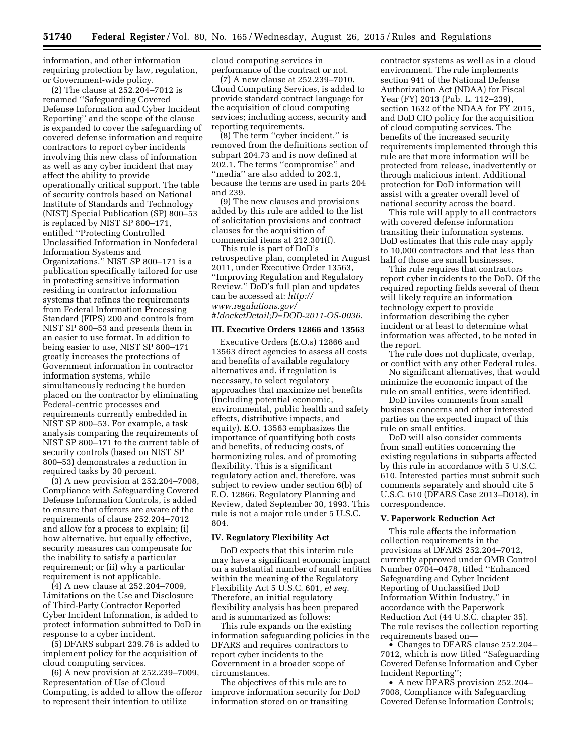information, and other information requiring protection by law, regulation, or Government-wide policy.

(2) The clause at 252.204–7012 is renamed ''Safeguarding Covered Defense Information and Cyber Incident Reporting'' and the scope of the clause is expanded to cover the safeguarding of covered defense information and require contractors to report cyber incidents involving this new class of information as well as any cyber incident that may affect the ability to provide operationally critical support. The table of security controls based on National Institute of Standards and Technology (NIST) Special Publication (SP) 800–53 is replaced by NIST SP 800–171, entitled ''Protecting Controlled Unclassified Information in Nonfederal Information Systems and Organizations.'' NIST SP 800–171 is a publication specifically tailored for use in protecting sensitive information residing in contractor information systems that refines the requirements from Federal Information Processing Standard (FIPS) 200 and controls from NIST SP 800–53 and presents them in an easier to use format. In addition to being easier to use, NIST SP 800–171 greatly increases the protections of Government information in contractor information systems, while simultaneously reducing the burden placed on the contractor by eliminating Federal-centric processes and requirements currently embedded in NIST SP 800–53. For example, a task analysis comparing the requirements of NIST SP 800–171 to the current table of security controls (based on NIST SP 800–53) demonstrates a reduction in required tasks by 30 percent.

(3) A new provision at 252.204–7008, Compliance with Safeguarding Covered Defense Information Controls, is added to ensure that offerors are aware of the requirements of clause 252.204–7012 and allow for a process to explain; (i) how alternative, but equally effective, security measures can compensate for the inability to satisfy a particular requirement; or (ii) why a particular requirement is not applicable.

(4) A new clause at 252.204–7009, Limitations on the Use and Disclosure of Third-Party Contractor Reported Cyber Incident Information, is added to protect information submitted to DoD in response to a cyber incident.

(5) DFARS subpart 239.76 is added to implement policy for the acquisition of cloud computing services.

(6) A new provision at 252.239–7009, Representation of Use of Cloud Computing, is added to allow the offeror to represent their intention to utilize

cloud computing services in performance of the contract or not.

(7) A new clause at 252.239–7010, Cloud Computing Services, is added to provide standard contract language for the acquisition of cloud computing services; including access, security and reporting requirements.

(8) The term ''cyber incident,'' is removed from the definitions section of subpart 204.73 and is now defined at 202.1. The terms ''compromise'' and ''media'' are also added to 202.1, because the terms are used in parts 204 and 239.

(9) The new clauses and provisions added by this rule are added to the list of solicitation provisions and contract clauses for the acquisition of commercial items at 212.301(f).

This rule is part of DoD's retrospective plan, completed in August 2011, under Executive Order 13563, ''Improving Regulation and Regulatory Review.'' DoD's full plan and updates can be accessed at: *[http://](http://www.regulations.gov/#!docketDetail;D=DOD-2011-OS-0036) [www.regulations.gov/](http://www.regulations.gov/#!docketDetail;D=DOD-2011-OS-0036) [#!docketDetail;D=DOD-2011-OS-0036.](http://www.regulations.gov/#!docketDetail;D=DOD-2011-OS-0036)* 

# **III. Executive Orders 12866 and 13563**

Executive Orders (E.O.s) 12866 and 13563 direct agencies to assess all costs and benefits of available regulatory alternatives and, if regulation is necessary, to select regulatory approaches that maximize net benefits (including potential economic, environmental, public health and safety effects, distributive impacts, and equity). E.O. 13563 emphasizes the importance of quantifying both costs and benefits, of reducing costs, of harmonizing rules, and of promoting flexibility. This is a significant regulatory action and, therefore, was subject to review under section 6(b) of E.O. 12866, Regulatory Planning and Review, dated September 30, 1993. This rule is not a major rule under 5 U.S.C. 804.

#### **IV. Regulatory Flexibility Act**

DoD expects that this interim rule may have a significant economic impact on a substantial number of small entities within the meaning of the Regulatory Flexibility Act 5 U.S.C. 601, *et seq.*  Therefore, an initial regulatory flexibility analysis has been prepared and is summarized as follows:

This rule expands on the existing information safeguarding policies in the DFARS and requires contractors to report cyber incidents to the Government in a broader scope of circumstances.

The objectives of this rule are to improve information security for DoD information stored on or transiting

contractor systems as well as in a cloud environment. The rule implements section 941 of the National Defense Authorization Act (NDAA) for Fiscal Year (FY) 2013 (Pub. L. 112–239), section 1632 of the NDAA for FY 2015, and DoD CIO policy for the acquisition of cloud computing services. The benefits of the increased security requirements implemented through this rule are that more information will be protected from release, inadvertently or through malicious intent. Additional protection for DoD information will assist with a greater overall level of national security across the board.

This rule will apply to all contractors with covered defense information transiting their information systems. DoD estimates that this rule may apply to 10,000 contractors and that less than half of those are small businesses.

This rule requires that contractors report cyber incidents to the DoD. Of the required reporting fields several of them will likely require an information technology expert to provide information describing the cyber incident or at least to determine what information was affected, to be noted in the report.

The rule does not duplicate, overlap, or conflict with any other Federal rules.

No significant alternatives, that would minimize the economic impact of the rule on small entities, were identified.

DoD invites comments from small business concerns and other interested parties on the expected impact of this rule on small entities.

DoD will also consider comments from small entities concerning the existing regulations in subparts affected by this rule in accordance with 5 U.S.C. 610. Interested parties must submit such comments separately and should cite 5 U.S.C. 610 (DFARS Case 2013–D018), in correspondence.

## **V. Paperwork Reduction Act**

This rule affects the information collection requirements in the provisions at DFARS 252.204–7012, currently approved under OMB Control Number 0704–0478, titled ''Enhanced Safeguarding and Cyber Incident Reporting of Unclassified DoD Information Within Industry,'' in accordance with the Paperwork Reduction Act (44 U.S.C. chapter 35). The rule revises the collection reporting requirements based on—

• Changes to DFARS clause 252.204– 7012, which is now titled ''Safeguarding Covered Defense Information and Cyber Incident Reporting'';

• A new DFARS provision 252.204– 7008, Compliance with Safeguarding Covered Defense Information Controls;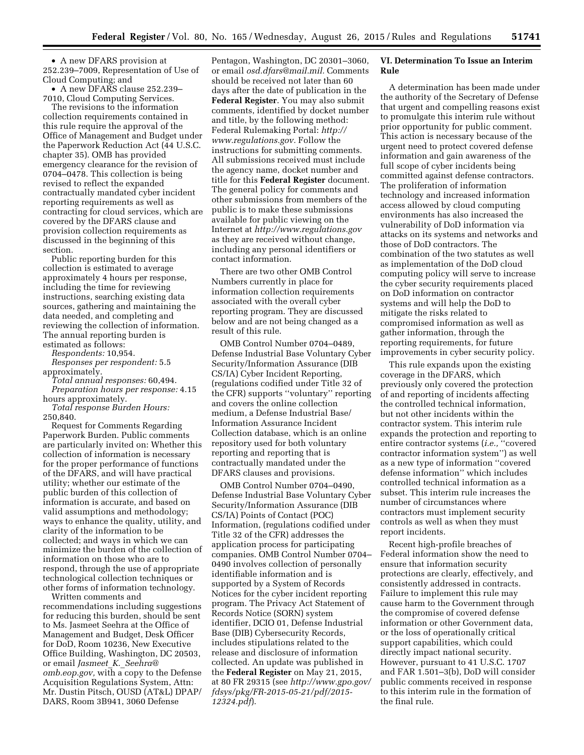• A new DFARS provision at 252.239–7009, Representation of Use of Cloud Computing; and

• A new DFARS clause 252.239– 7010, Cloud Computing Services.

The revisions to the information collection requirements contained in this rule require the approval of the Office of Management and Budget under the Paperwork Reduction Act (44 U.S.C. chapter 35). OMB has provided emergency clearance for the revision of 0704–0478. This collection is being revised to reflect the expanded contractually mandated cyber incident reporting requirements as well as contracting for cloud services, which are covered by the DFARS clause and provision collection requirements as discussed in the beginning of this section.

Public reporting burden for this collection is estimated to average approximately 4 hours per response, including the time for reviewing instructions, searching existing data sources, gathering and maintaining the data needed, and completing and reviewing the collection of information. The annual reporting burden is estimated as follows:

*Respondents:* 10,954.

*Responses per respondent:* 5.5 approximately.

*Total annual responses:* 60,494. *Preparation hours per response:* 4.15 hours approximately.

*Total response Burden Hours:*  250,840.

Request for Comments Regarding Paperwork Burden. Public comments are particularly invited on: Whether this collection of information is necessary for the proper performance of functions of the DFARS, and will have practical utility; whether our estimate of the public burden of this collection of information is accurate, and based on valid assumptions and methodology; ways to enhance the quality, utility, and clarity of the information to be collected; and ways in which we can minimize the burden of the collection of information on those who are to respond, through the use of appropriate technological collection techniques or other forms of information technology.

Written comments and recommendations including suggestions for reducing this burden, should be sent to Ms. Jasmeet Seehra at the Office of Management and Budget, Desk Officer for DoD, Room 10236, New Executive Office Building, Washington, DC 20503, or email *Jasmeet*\_*K.*\_*[Seehra@](mailto:Jasmeet_K._Seehra@omb.eop.gov) [omb.eop.gov,](mailto:Jasmeet_K._Seehra@omb.eop.gov)* with a copy to the Defense Acquisition Regulations System, Attn: Mr. Dustin Pitsch, OUSD (AT&L) DPAP/ DARS, Room 3B941, 3060 Defense

Pentagon, Washington, DC 20301–3060, or email *[osd.dfars@mail.mil.](mailto:osd.dfars@mail.mil)* Comments should be received not later than 60 days after the date of publication in the **Federal Register**. You may also submit comments, identified by docket number and title, by the following method: Federal Rulemaking Portal: *[http://](http://www.regulations.gov) [www.regulations.gov.](http://www.regulations.gov)* Follow the instructions for submitting comments. All submissions received must include the agency name, docket number and title for this **Federal Register** document. The general policy for comments and other submissions from members of the public is to make these submissions available for public viewing on the Internet at *<http://www.regulations.gov>*  as they are received without change, including any personal identifiers or contact information.

There are two other OMB Control Numbers currently in place for information collection requirements associated with the overall cyber reporting program. They are discussed below and are not being changed as a result of this rule.

OMB Control Number 0704–0489, Defense Industrial Base Voluntary Cyber Security/Information Assurance (DIB CS/IA) Cyber Incident Reporting, (regulations codified under Title 32 of the CFR) supports ''voluntary'' reporting and covers the online collection medium, a Defense Industrial Base/ Information Assurance Incident Collection database, which is an online repository used for both voluntary reporting and reporting that is contractually mandated under the DFARS clauses and provisions.

OMB Control Number 0704–0490, Defense Industrial Base Voluntary Cyber Security/Information Assurance (DIB CS/IA) Points of Contact (POC) Information, (regulations codified under Title 32 of the CFR) addresses the application process for participating companies. OMB Control Number 0704– 0490 involves collection of personally identifiable information and is supported by a System of Records Notices for the cyber incident reporting program. The Privacy Act Statement of Records Notice (SORN) system identifier, DCIO 01, Defense Industrial Base (DIB) Cybersecurity Records, includes stipulations related to the release and disclosure of information collected. An update was published in the **Federal Register** on May 21, 2015, at 80 FR 29315 (see *[http://www.gpo.gov/](http://www.gpo.gov/fdsys/pkg/FR-2015-05-21/pdf/2015-12324.pdf) [fdsys/pkg/FR-2015-05-21/pdf/2015-](http://www.gpo.gov/fdsys/pkg/FR-2015-05-21/pdf/2015-12324.pdf)  [12324.pdf](http://www.gpo.gov/fdsys/pkg/FR-2015-05-21/pdf/2015-12324.pdf)*).

## **VI. Determination To Issue an Interim Rule**

A determination has been made under the authority of the Secretary of Defense that urgent and compelling reasons exist to promulgate this interim rule without prior opportunity for public comment. This action is necessary because of the urgent need to protect covered defense information and gain awareness of the full scope of cyber incidents being committed against defense contractors. The proliferation of information technology and increased information access allowed by cloud computing environments has also increased the vulnerability of DoD information via attacks on its systems and networks and those of DoD contractors. The combination of the two statutes as well as implementation of the DoD cloud computing policy will serve to increase the cyber security requirements placed on DoD information on contractor systems and will help the DoD to mitigate the risks related to compromised information as well as gather information, through the reporting requirements, for future improvements in cyber security policy.

This rule expands upon the existing coverage in the DFARS, which previously only covered the protection of and reporting of incidents affecting the controlled technical information, but not other incidents within the contractor system. This interim rule expands the protection and reporting to entire contractor systems (*i.e.,* ''covered contractor information system'') as well as a new type of information ''covered defense information'' which includes controlled technical information as a subset. This interim rule increases the number of circumstances where contractors must implement security controls as well as when they must report incidents.

Recent high-profile breaches of Federal information show the need to ensure that information security protections are clearly, effectively, and consistently addressed in contracts. Failure to implement this rule may cause harm to the Government through the compromise of covered defense information or other Government data, or the loss of operationally critical support capabilities, which could directly impact national security. However, pursuant to 41 U.S.C. 1707 and FAR 1.501–3(b), DoD will consider public comments received in response to this interim rule in the formation of the final rule.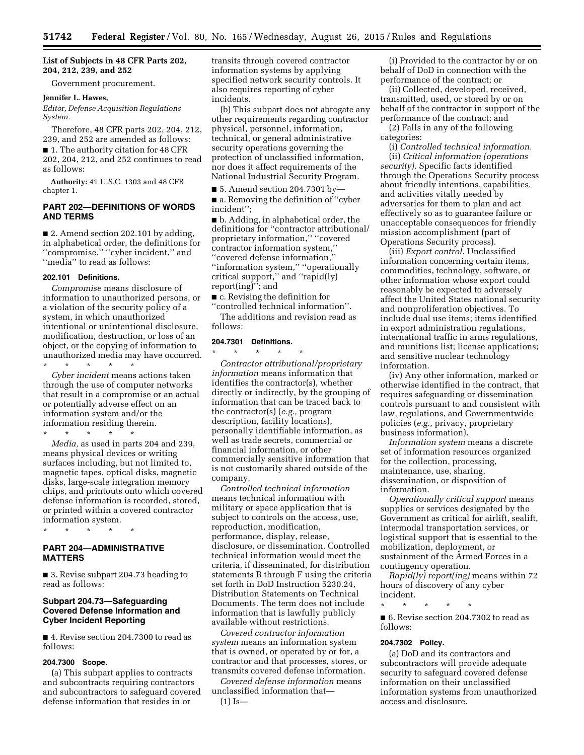# **List of Subjects in 48 CFR Parts 202, 204, 212, 239, and 252**

Government procurement.

## **Jennifer L. Hawes,**

*Editor, Defense Acquisition Regulations System.* 

Therefore, 48 CFR parts 202, 204, 212, 239, and 252 are amended as follows: ■ 1. The authority citation for 48 CFR

202, 204, 212, and 252 continues to read as follows:

**Authority:** 41 U.S.C. 1303 and 48 CFR chapter 1.

# **PART 202—DEFINITIONS OF WORDS AND TERMS**

■ 2. Amend section 202.101 by adding, in alphabetical order, the definitions for ''compromise,'' ''cyber incident,'' and ''media'' to read as follows:

# **202.101 Definitions.**

*Compromise* means disclosure of information to unauthorized persons, or a violation of the security policy of a system, in which unauthorized intentional or unintentional disclosure, modification, destruction, or loss of an object, or the copying of information to unauthorized media may have occurred.

\* \* \* \* \* *Cyber incident* means actions taken through the use of computer networks that result in a compromise or an actual or potentially adverse effect on an information system and/or the information residing therein.

\* \* \* \* \* *Media,* as used in parts 204 and 239, means physical devices or writing surfaces including, but not limited to, magnetic tapes, optical disks, magnetic disks, large-scale integration memory chips, and printouts onto which covered defense information is recorded, stored, or printed within a covered contractor information system.

\* \* \* \* \*

# **PART 204—ADMINISTRATIVE MATTERS**

■ 3. Revise subpart 204.73 heading to read as follows:

# **Subpart 204.73—Safeguarding Covered Defense Information and Cyber Incident Reporting**

■ 4. Revise section 204.7300 to read as follows:

## **204.7300 Scope.**

(a) This subpart applies to contracts and subcontracts requiring contractors and subcontractors to safeguard covered defense information that resides in or

transits through covered contractor information systems by applying specified network security controls. It also requires reporting of cyber incidents.

(b) This subpart does not abrogate any other requirements regarding contractor physical, personnel, information, technical, or general administrative security operations governing the protection of unclassified information, nor does it affect requirements of the National Industrial Security Program.

 $\blacksquare$  5. Amend section 204.7301 by

■ a. Removing the definition of "cyber incident'';

■ b. Adding, in alphabetical order, the definitions for ''contractor attributional/ proprietary information,'' ''covered contractor information system,'' ''covered defense information,'' ''information system,'' ''operationally critical support,'' and ''rapid(ly) report(ing)''; and

■ c. Revising the definition for ''controlled technical information''. The additions and revision read as follows:

#### **204.7301 Definitions.**

\* \* \* \* \*

*Contractor attributional/proprietary information* means information that identifies the contractor(s), whether directly or indirectly, by the grouping of information that can be traced back to the contractor(s) (*e.g.,* program description, facility locations), personally identifiable information, as well as trade secrets, commercial or financial information, or other commercially sensitive information that is not customarily shared outside of the company.

*Controlled technical information*  means technical information with military or space application that is subject to controls on the access, use, reproduction, modification, performance, display, release, disclosure, or dissemination. Controlled technical information would meet the criteria, if disseminated, for distribution statements B through F using the criteria set forth in DoD Instruction 5230.24, Distribution Statements on Technical Documents. The term does not include information that is lawfully publicly available without restrictions.

*Covered contractor information system* means an information system that is owned, or operated by or for, a contractor and that processes, stores, or transmits covered defense information.

*Covered defense information* means unclassified information that—  $(1)$  Is-

(i) Provided to the contractor by or on behalf of DoD in connection with the performance of the contract; or

(ii) Collected, developed, received, transmitted, used, or stored by or on behalf of the contractor in support of the performance of the contract; and

(2) Falls in any of the following categories:

(i) *Controlled technical information.*  (ii) *Critical information (operations security).* Specific facts identified through the Operations Security process about friendly intentions, capabilities, and activities vitally needed by adversaries for them to plan and act effectively so as to guarantee failure or unacceptable consequences for friendly mission accomplishment (part of Operations Security process).

(iii) *Export control.* Unclassified information concerning certain items, commodities, technology, software, or other information whose export could reasonably be expected to adversely affect the United States national security and nonproliferation objectives. To include dual use items; items identified in export administration regulations, international traffic in arms regulations, and munitions list; license applications; and sensitive nuclear technology information.

(iv) Any other information, marked or otherwise identified in the contract, that requires safeguarding or dissemination controls pursuant to and consistent with law, regulations, and Governmentwide policies (*e.g.,* privacy, proprietary business information).

*Information system* means a discrete set of information resources organized for the collection, processing, maintenance, use, sharing, dissemination, or disposition of information.

*Operationally critical support* means supplies or services designated by the Government as critical for airlift, sealift, intermodal transportation services, or logistical support that is essential to the mobilization, deployment, or sustainment of the Armed Forces in a contingency operation.

*Rapid(ly) report(ing)* means within 72 hours of discovery of any cyber incident.

\* \* \* \* \*

■ 6. Revise section 204.7302 to read as follows:

### **204.7302 Policy.**

(a) DoD and its contractors and subcontractors will provide adequate security to safeguard covered defense information on their unclassified information systems from unauthorized access and disclosure.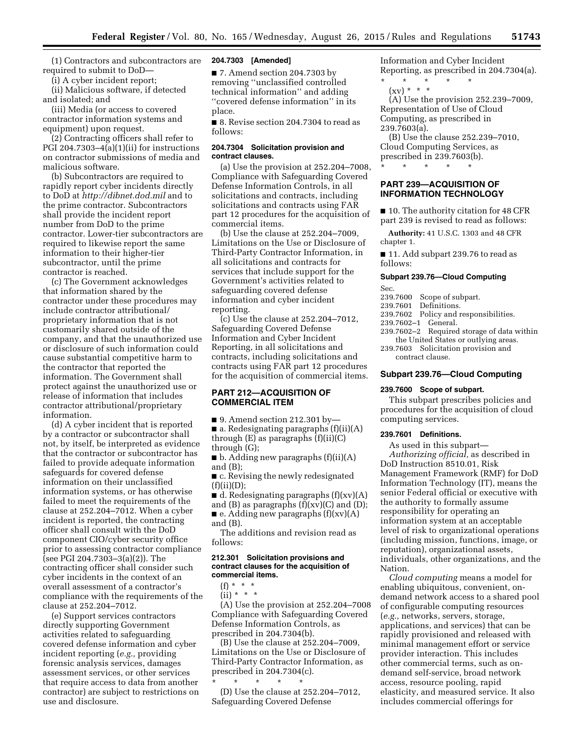(1) Contractors and subcontractors are required to submit to DoD—

(i) A cyber incident report;

(ii) Malicious software, if detected and isolated; and

(iii) Media (or access to covered contractor information systems and equipment) upon request.

(2) Contracting officers shall refer to PGI 204.7303 $-4(a)(1)(ii)$  for instructions on contractor submissions of media and malicious software.

(b) Subcontractors are required to rapidly report cyber incidents directly to DoD at *<http://dibnet.dod.mil>* and to the prime contractor. Subcontractors shall provide the incident report number from DoD to the prime contractor. Lower-tier subcontractors are required to likewise report the same information to their higher-tier subcontractor, until the prime contractor is reached.

(c) The Government acknowledges that information shared by the contractor under these procedures may include contractor attributional/ proprietary information that is not customarily shared outside of the company, and that the unauthorized use or disclosure of such information could cause substantial competitive harm to the contractor that reported the information. The Government shall protect against the unauthorized use or release of information that includes contractor attributional/proprietary information.

(d) A cyber incident that is reported by a contractor or subcontractor shall not, by itself, be interpreted as evidence that the contractor or subcontractor has failed to provide adequate information safeguards for covered defense information on their unclassified information systems, or has otherwise failed to meet the requirements of the clause at 252.204–7012. When a cyber incident is reported, the contracting officer shall consult with the DoD component CIO/cyber security office prior to assessing contractor compliance (see PGI 204.7303–3(a)(2)). The contracting officer shall consider such cyber incidents in the context of an overall assessment of a contractor's compliance with the requirements of the clause at 252.204–7012.

(e) Support services contractors directly supporting Government activities related to safeguarding covered defense information and cyber incident reporting (*e.g.,* providing forensic analysis services, damages assessment services, or other services that require access to data from another contractor) are subject to restrictions on use and disclosure.

### **204.7303 [Amended]**

■ 7. Amend section 204.7303 by removing ''unclassified controlled technical information'' and adding ''covered defense information'' in its place.

■ 8. Revise section 204.7304 to read as follows:

## **204.7304 Solicitation provision and contract clauses.**

(a) Use the provision at 252.204–7008, Compliance with Safeguarding Covered Defense Information Controls, in all solicitations and contracts, including solicitations and contracts using FAR part 12 procedures for the acquisition of commercial items.

(b) Use the clause at 252.204–7009, Limitations on the Use or Disclosure of Third-Party Contractor Information, in all solicitations and contracts for services that include support for the Government's activities related to safeguarding covered defense information and cyber incident reporting.

(c) Use the clause at 252.204–7012, Safeguarding Covered Defense Information and Cyber Incident Reporting, in all solicitations and contracts, including solicitations and contracts using FAR part 12 procedures for the acquisition of commercial items.

# **PART 212—ACQUISITION OF COMMERCIAL ITEM**

 $\blacksquare$  9. Amend section 212.301 by-

■ a. Redesignating paragraphs (f)(ii)(A) through  $(E)$  as paragraphs  $(f)(ii)(C)$ through (G);

 $\blacksquare$  b. Adding new paragraphs  $(f)(ii)(A)$ and (B);

■ c. Revising the newly redesignated  $(f)(ii)(D)$ ;

 $\blacksquare$  d. Redesignating paragraphs  $(f)(x)(A)$ 

and (B) as paragraphs  $(f)(x)(C)$  and  $(D)$ ;  $\blacksquare$  e. Adding new paragraphs (f)(xv)(A)

and (B).

The additions and revision read as follows:

### **212.301 Solicitation provisions and contract clauses for the acquisition of commercial items.**

 $(f) * * * *$ 

 $(ii) * * * *$ 

(A) Use the provision at 252.204–7008 Compliance with Safeguarding Covered Defense Information Controls, as prescribed in 204.7304(b).

(B) Use the clause at 252.204–7009, Limitations on the Use or Disclosure of Third-Party Contractor Information, as prescribed in 204.7304(c).

\* \* \* \* \* (D) Use the clause at 252.204–7012, Safeguarding Covered Defense

Information and Cyber Incident Reporting, as prescribed in 204.7304(a).

\* \* \* \* \*  $(xv) * * * *$ 

(A) Use the provision 252.239–7009, Representation of Use of Cloud Computing, as prescribed in 239.7603(a).

(B) Use the clause 252.239–7010, Cloud Computing Services, as prescribed in 239.7603(b).

# **PART 239—ACQUISITION OF INFORMATION TECHNOLOGY**

\* \* \* \* \*

■ 10. The authority citation for 48 CFR part 239 is revised to read as follows:

**Authority:** 41 U.S.C. 1303 and 48 CFR chapter 1.

■ 11. Add subpart 239.76 to read as follows:

# **Subpart 239.76—Cloud Computing**  Sec.

- 
- 239.7600 Scope of subpart.<br>239.7601 Definitions.
- Definitions.
- 239.7602 Policy and responsibilities.
- 239.7602–1 General.
- 239.7602–2 Required storage of data within the United States or outlying areas.

239.7603 Solicitation provision and contract clause.

# **Subpart 239.76—Cloud Computing**

# **239.7600 Scope of subpart.**

This subpart prescribes policies and procedures for the acquisition of cloud computing services.

## **239.7601 Definitions.**

As used in this subpart— *Authorizing official,* as described in DoD Instruction 8510.01, Risk Management Framework (RMF) for DoD Information Technology (IT), means the senior Federal official or executive with the authority to formally assume responsibility for operating an information system at an acceptable level of risk to organizational operations (including mission, functions, image, or reputation), organizational assets, individuals, other organizations, and the Nation.

*Cloud computing* means a model for enabling ubiquitous, convenient, ondemand network access to a shared pool of configurable computing resources (*e.g.,* networks, servers, storage, applications, and services) that can be rapidly provisioned and released with minimal management effort or service provider interaction. This includes other commercial terms, such as ondemand self-service, broad network access, resource pooling, rapid elasticity, and measured service. It also includes commercial offerings for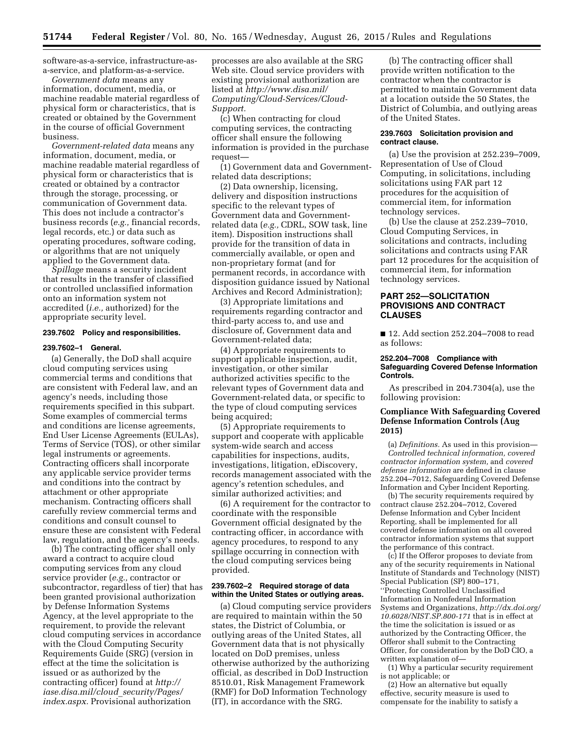software-as-a-service, infrastructure-asa-service, and platform-as-a-service.

*Government data* means any information, document, media, or machine readable material regardless of physical form or characteristics, that is created or obtained by the Government in the course of official Government business.

*Government-related data* means any information, document, media, or machine readable material regardless of physical form or characteristics that is created or obtained by a contractor through the storage, processing, or communication of Government data. This does not include a contractor's business records (*e.g.,* financial records, legal records, etc.) or data such as operating procedures, software coding, or algorithms that are not uniquely applied to the Government data.

*Spillage* means a security incident that results in the transfer of classified or controlled unclassified information onto an information system not accredited (*i.e.,* authorized) for the appropriate security level.

## **239.7602 Policy and responsibilities.**

#### **239.7602–1 General.**

(a) Generally, the DoD shall acquire cloud computing services using commercial terms and conditions that are consistent with Federal law, and an agency's needs, including those requirements specified in this subpart. Some examples of commercial terms and conditions are license agreements, End User License Agreements (EULAs), Terms of Service (TOS), or other similar legal instruments or agreements. Contracting officers shall incorporate any applicable service provider terms and conditions into the contract by attachment or other appropriate mechanism. Contracting officers shall carefully review commercial terms and conditions and consult counsel to ensure these are consistent with Federal law, regulation, and the agency's needs.

(b) The contracting officer shall only award a contract to acquire cloud computing services from any cloud service provider (*e.g.,* contractor or subcontractor, regardless of tier) that has been granted provisional authorization by Defense Information Systems Agency, at the level appropriate to the requirement, to provide the relevant cloud computing services in accordance with the Cloud Computing Security Requirements Guide (SRG) (version in effect at the time the solicitation is issued or as authorized by the contracting officer) found at *[http://](http://iase.disa.mil/cloud_security/Pages/index.aspx) [iase.disa.mil/cloud](http://iase.disa.mil/cloud_security/Pages/index.aspx)*\_*security/Pages/ [index.aspx.](http://iase.disa.mil/cloud_security/Pages/index.aspx)* Provisional authorization

processes are also available at the SRG Web site. Cloud service providers with existing provisional authorization are listed at *[http://www.disa.mil/](http://www.disa.mil/Computing/Cloud-Services/Cloud-Support) [Computing/Cloud-Services/Cloud-](http://www.disa.mil/Computing/Cloud-Services/Cloud-Support)[Support.](http://www.disa.mil/Computing/Cloud-Services/Cloud-Support)* 

(c) When contracting for cloud computing services, the contracting officer shall ensure the following information is provided in the purchase request—

(1) Government data and Governmentrelated data descriptions;

(2) Data ownership, licensing, delivery and disposition instructions specific to the relevant types of Government data and Governmentrelated data (*e.g.,* CDRL, SOW task, line item). Disposition instructions shall provide for the transition of data in commercially available, or open and non-proprietary format (and for permanent records, in accordance with disposition guidance issued by National Archives and Record Administration);

(3) Appropriate limitations and requirements regarding contractor and third-party access to, and use and disclosure of, Government data and Government-related data;

(4) Appropriate requirements to support applicable inspection, audit, investigation, or other similar authorized activities specific to the relevant types of Government data and Government-related data, or specific to the type of cloud computing services being acquired;

(5) Appropriate requirements to support and cooperate with applicable system-wide search and access capabilities for inspections, audits, investigations, litigation, eDiscovery, records management associated with the agency's retention schedules, and similar authorized activities; and

(6) A requirement for the contractor to coordinate with the responsible Government official designated by the contracting officer, in accordance with agency procedures, to respond to any spillage occurring in connection with the cloud computing services being provided.

#### **239.7602–2 Required storage of data within the United States or outlying areas.**

(a) Cloud computing service providers are required to maintain within the 50 states, the District of Columbia, or outlying areas of the United States, all Government data that is not physically located on DoD premises, unless otherwise authorized by the authorizing official, as described in DoD Instruction 8510.01, Risk Management Framework (RMF) for DoD Information Technology (IT), in accordance with the SRG.

(b) The contracting officer shall provide written notification to the contractor when the contractor is permitted to maintain Government data at a location outside the 50 States, the District of Columbia, and outlying areas of the United States.

## **239.7603 Solicitation provision and contract clause.**

(a) Use the provision at 252.239–7009, Representation of Use of Cloud Computing, in solicitations, including solicitations using FAR part 12 procedures for the acquisition of commercial item, for information technology services.

(b) Use the clause at 252.239–7010, Cloud Computing Services, in solicitations and contracts, including solicitations and contracts using FAR part 12 procedures for the acquisition of commercial item, for information technology services.

## **PART 252—SOLICITATION PROVISIONS AND CONTRACT CLAUSES**

■ 12. Add section 252.204–7008 to read as follows:

## **252.204–7008 Compliance with Safeguarding Covered Defense Information Controls.**

As prescribed in 204.7304(a), use the following provision:

# **Compliance With Safeguarding Covered Defense Information Controls (Aug 2015)**

(a) *Definitions.* As used in this provision— *Controlled technical information, covered contractor information system,* and *covered defense information* are defined in clause 252.204–7012, Safeguarding Covered Defense Information and Cyber Incident Reporting.

(b) The security requirements required by contract clause 252.204–7012, Covered Defense Information and Cyber Incident Reporting, shall be implemented for all covered defense information on all covered contractor information systems that support the performance of this contract.

(c) If the Offeror proposes to deviate from any of the security requirements in National Institute of Standards and Technology (NIST) Special Publication (SP) 800–171, ''Protecting Controlled Unclassified Information in Nonfederal Information Systems and Organizations, *[http://dx.doi.org/](http://dx.doi.org/10.6028/NIST.SP.800-171)  [10.6028/NIST.SP.800-171](http://dx.doi.org/10.6028/NIST.SP.800-171)* that is in effect at the time the solicitation is issued or as authorized by the Contracting Officer, the Offeror shall submit to the Contracting Officer, for consideration by the DoD CIO, a written explanation of—

(1) Why a particular security requirement is not applicable; or

(2) How an alternative but equally effective, security measure is used to compensate for the inability to satisfy a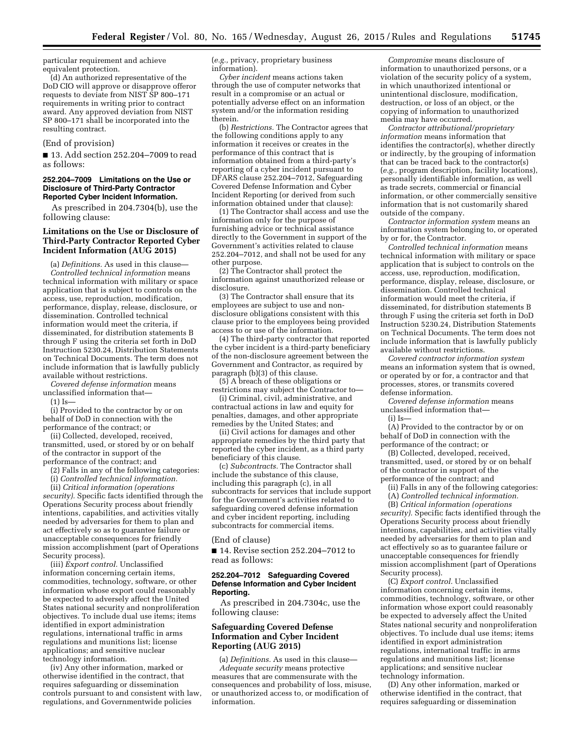particular requirement and achieve equivalent protection.

(d) An authorized representative of the DoD CIO will approve or disapprove offeror requests to deviate from NIST SP 800–171 requirements in writing prior to contract award. Any approved deviation from NIST SP 800–171 shall be incorporated into the resulting contract.

(End of provision)

■ 13. Add section 252.204-7009 to read as follows:

# **252.204–7009 Limitations on the Use or Disclosure of Third-Party Contractor Reported Cyber Incident Information.**

As prescribed in 204.7304(b), use the following clause:

# **Limitations on the Use or Disclosure of Third-Party Contractor Reported Cyber Incident Information (AUG 2015)**

(a) *Definitions.* As used in this clause— *Controlled technical information* means technical information with military or space application that is subject to controls on the access, use, reproduction, modification, performance, display, release, disclosure, or dissemination. Controlled technical information would meet the criteria, if disseminated, for distribution statements B through F using the criteria set forth in DoD Instruction 5230.24, Distribution Statements on Technical Documents. The term does not include information that is lawfully publicly available without restrictions.

*Covered defense information* means unclassified information that—

 $(1)$  Is-

(i) Provided to the contractor by or on behalf of DoD in connection with the performance of the contract; or

(ii) Collected, developed, received, transmitted, used, or stored by or on behalf of the contractor in support of the performance of the contract; and

(2) Falls in any of the following categories:

(i) *Controlled technical information.* 

(ii) *Critical information (operations security).* Specific facts identified through the Operations Security process about friendly intentions, capabilities, and activities vitally needed by adversaries for them to plan and act effectively so as to guarantee failure or unacceptable consequences for friendly mission accomplishment (part of Operations Security process).

(iii) *Export control.* Unclassified information concerning certain items, commodities, technology, software, or other information whose export could reasonably be expected to adversely affect the United States national security and nonproliferation objectives. To include dual use items; items identified in export administration regulations, international traffic in arms regulations and munitions list; license applications; and sensitive nuclear technology information.

(iv) Any other information, marked or otherwise identified in the contract, that requires safeguarding or dissemination controls pursuant to and consistent with law, regulations, and Governmentwide policies

(*e.g.,* privacy, proprietary business information).

*Cyber incident* means actions taken through the use of computer networks that result in a compromise or an actual or potentially adverse effect on an information system and/or the information residing therein.

(b) *Restrictions.* The Contractor agrees that the following conditions apply to any information it receives or creates in the performance of this contract that is information obtained from a third-party's reporting of a cyber incident pursuant to DFARS clause 252.204–7012, Safeguarding Covered Defense Information and Cyber Incident Reporting (or derived from such information obtained under that clause):

(1) The Contractor shall access and use the information only for the purpose of furnishing advice or technical assistance directly to the Government in support of the Government's activities related to clause 252.204–7012, and shall not be used for any other purpose.

(2) The Contractor shall protect the information against unauthorized release or disclosure.

(3) The Contractor shall ensure that its employees are subject to use and nondisclosure obligations consistent with this clause prior to the employees being provided access to or use of the information.

(4) The third-party contractor that reported the cyber incident is a third-party beneficiary of the non-disclosure agreement between the Government and Contractor, as required by paragraph (b)(3) of this clause.

(5) A breach of these obligations or restrictions may subject the Contractor to—

(i) Criminal, civil, administrative, and contractual actions in law and equity for penalties, damages, and other appropriate remedies by the United States; and

(ii) Civil actions for damages and other appropriate remedies by the third party that reported the cyber incident, as a third party beneficiary of this clause.

(c) *Subcontracts.* The Contractor shall include the substance of this clause, including this paragraph (c), in all subcontracts for services that include support for the Government's activities related to safeguarding covered defense information and cyber incident reporting, including subcontracts for commercial items.

## (End of clause)

■ 14. Revise section 252.204-7012 to read as follows:

## **252.204–7012 Safeguarding Covered Defense Information and Cyber Incident Reporting.**

As prescribed in 204.7304c, use the following clause:

# **Safeguarding Covered Defense Information and Cyber Incident Reporting (AUG 2015)**

(a) *Definitions.* As used in this clause— *Adequate security* means protective measures that are commensurate with the consequences and probability of loss, misuse, or unauthorized access to, or modification of information.

*Compromise* means disclosure of information to unauthorized persons, or a violation of the security policy of a system, in which unauthorized intentional or unintentional disclosure, modification, destruction, or loss of an object, or the copying of information to unauthorized media may have occurred.

*Contractor attributional/proprietary information* means information that identifies the contractor(s), whether directly or indirectly, by the grouping of information that can be traced back to the contractor(s) (*e.g.,* program description, facility locations), personally identifiable information, as well as trade secrets, commercial or financial information, or other commercially sensitive information that is not customarily shared outside of the company.

*Contractor information system* means an information system belonging to, or operated by or for, the Contractor.

*Controlled technical information* means technical information with military or space application that is subject to controls on the access, use, reproduction, modification, performance, display, release, disclosure, or dissemination. Controlled technical information would meet the criteria, if disseminated, for distribution statements B through F using the criteria set forth in DoD Instruction 5230.24, Distribution Statements on Technical Documents. The term does not include information that is lawfully publicly available without restrictions.

*Covered contractor information system*  means an information system that is owned, or operated by or for, a contractor and that processes, stores, or transmits covered defense information.

*Covered defense information* means unclassified information that—

# $(i)$  Is-

(A) Provided to the contractor by or on behalf of DoD in connection with the performance of the contract; or

(B) Collected, developed, received, transmitted, used, or stored by or on behalf of the contractor in support of the performance of the contract; and

(ii) Falls in any of the following categories:

(A) *Controlled technical information.* 

(B) *Critical information (operations security).* Specific facts identified through the Operations Security process about friendly intentions, capabilities, and activities vitally needed by adversaries for them to plan and act effectively so as to guarantee failure or unacceptable consequences for friendly mission accomplishment (part of Operations Security process).

(C) *Export control.* Unclassified information concerning certain items, commodities, technology, software, or other information whose export could reasonably be expected to adversely affect the United States national security and nonproliferation objectives. To include dual use items; items identified in export administration regulations, international traffic in arms regulations and munitions list; license applications; and sensitive nuclear technology information.

(D) Any other information, marked or otherwise identified in the contract, that requires safeguarding or dissemination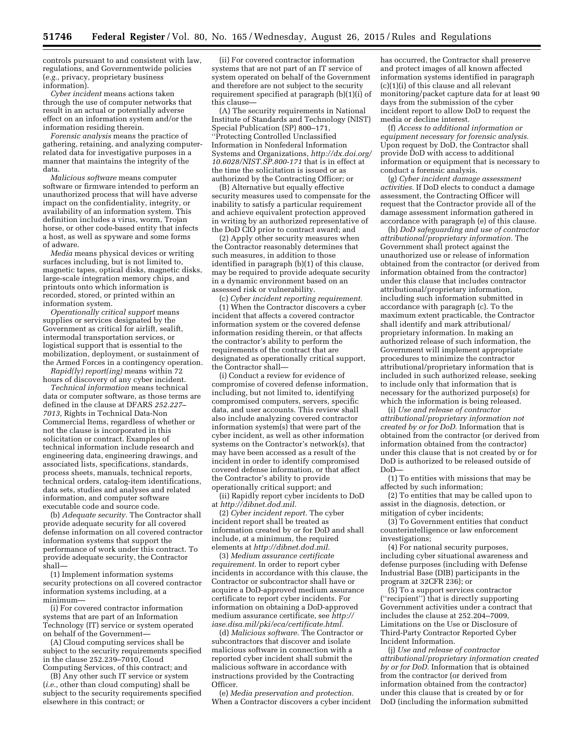controls pursuant to and consistent with law, regulations, and Governmentwide policies (*e.g.,* privacy, proprietary business information).

*Cyber incident* means actions taken through the use of computer networks that result in an actual or potentially adverse effect on an information system and/or the information residing therein.

*Forensic analysis* means the practice of gathering, retaining, and analyzing computerrelated data for investigative purposes in a manner that maintains the integrity of the data.

*Malicious software* means computer software or firmware intended to perform an unauthorized process that will have adverse impact on the confidentiality, integrity, or availability of an information system. This definition includes a virus, worm, Trojan horse, or other code-based entity that infects a host, as well as spyware and some forms of adware.

*Media* means physical devices or writing surfaces including, but is not limited to, magnetic tapes, optical disks, magnetic disks, large-scale integration memory chips, and printouts onto which information is recorded, stored, or printed within an information system.

*Operationally critical support* means supplies or services designated by the Government as critical for airlift, sealift, intermodal transportation services, or logistical support that is essential to the mobilization, deployment, or sustainment of the Armed Forces in a contingency operation.

*Rapid(ly) report(ing)* means within 72 hours of discovery of any cyber incident.

*Technical information* means technical data or computer software, as those terms are defined in the clause at DFARS *252.227– 7013,* Rights in Technical Data-Non Commercial Items, regardless of whether or not the clause is incorporated in this solicitation or contract. Examples of technical information include research and engineering data, engineering drawings, and associated lists, specifications, standards, process sheets, manuals, technical reports, technical orders, catalog-item identifications, data sets, studies and analyses and related information, and computer software executable code and source code.

(b) *Adequate security.* The Contractor shall provide adequate security for all covered defense information on all covered contractor information systems that support the performance of work under this contract. To provide adequate security, the Contractor shall—

(1) Implement information systems security protections on all covered contractor information systems including, at a minimum—

(i) For covered contractor information systems that are part of an Information Technology (IT) service or system operated on behalf of the Government—

(A) Cloud computing services shall be subject to the security requirements specified in the clause 252.239–7010, Cloud Computing Services, of this contract; and

(B) Any other such IT service or system (*i.e.,* other than cloud computing) shall be subject to the security requirements specified elsewhere in this contract; or

(ii) For covered contractor information systems that are not part of an IT service of system operated on behalf of the Government and therefore are not subject to the security requirement specified at paragraph (b)(1)(i) of this clause—

(A) The security requirements in National Institute of Standards and Technology (NIST) Special Publication (SP) 800–171, ''Protecting Controlled Unclassified Information in Nonfederal Information Systems and Organizations, *[http://dx.doi.org/](http://dx.doi.org/10.6028/NIST.SP.800-171)  [10.6028/NIST.SP.800-171](http://dx.doi.org/10.6028/NIST.SP.800-171)* that is in effect at the time the solicitation is issued or as authorized by the Contracting Officer; or

(B) Alternative but equally effective security measures used to compensate for the inability to satisfy a particular requirement and achieve equivalent protection approved in writing by an authorized representative of the DoD CIO prior to contract award; and

(2) Apply other security measures when the Contractor reasonably determines that such measures, in addition to those identified in paragraph (b)(1) of this clause, may be required to provide adequate security in a dynamic environment based on an assessed risk or vulnerability.

(c) *Cyber incident reporting requirement.*  (1) When the Contractor discovers a cyber incident that affects a covered contractor information system or the covered defense information residing therein, or that affects the contractor's ability to perform the requirements of the contract that are designated as operationally critical support, the Contractor shall—

(i) Conduct a review for evidence of compromise of covered defense information, including, but not limited to, identifying compromised computers, servers, specific data, and user accounts. This review shall also include analyzing covered contractor information system(s) that were part of the cyber incident, as well as other information systems on the Contractor's network(s), that may have been accessed as a result of the incident in order to identify compromised covered defense information, or that affect the Contractor's ability to provide operationally critical support; and

(ii) Rapidly report cyber incidents to DoD at *[http://dibnet.dod.mil.](http://dibnet.dod.mil)* 

(2) *Cyber incident report.* The cyber incident report shall be treated as information created by or for DoD and shall include, at a minimum, the required elements at *[http://dibnet.dod.mil.](http://dibnet.dod.mil)* 

(3) *Medium assurance certificate requirement.* In order to report cyber incidents in accordance with this clause, the Contractor or subcontractor shall have or acquire a DoD-approved medium assurance certificate to report cyber incidents. For information on obtaining a DoD-approved medium assurance certificate, see *[http://](http://iase.disa.mil/pki/eca/certificate.html) [iase.disa.mil/pki/eca/certificate.html.](http://iase.disa.mil/pki/eca/certificate.html)* 

(d) *Malicious software.* The Contractor or subcontractors that discover and isolate malicious software in connection with a reported cyber incident shall submit the malicious software in accordance with instructions provided by the Contracting Officer.

(e) *Media preservation and protection.*  When a Contractor discovers a cyber incident

has occurred, the Contractor shall preserve and protect images of all known affected information systems identified in paragraph (c)(1)(i) of this clause and all relevant monitoring/packet capture data for at least 90 days from the submission of the cyber incident report to allow DoD to request the media or decline interest.

(f) *Access to additional information or equipment necessary for forensic analysis.*  Upon request by DoD, the Contractor shall provide DoD with access to additional information or equipment that is necessary to conduct a forensic analysis.

(g) *Cyber incident damage assessment activities.* If DoD elects to conduct a damage assessment, the Contracting Officer will request that the Contractor provide all of the damage assessment information gathered in accordance with paragraph (e) of this clause.

(h) *DoD safeguarding and use of contractor attributional/proprietary information.* The Government shall protect against the unauthorized use or release of information obtained from the contractor (or derived from information obtained from the contractor) under this clause that includes contractor attributional/proprietary information, including such information submitted in accordance with paragraph (c). To the maximum extent practicable, the Contractor shall identify and mark attributional/ proprietary information. In making an authorized release of such information, the Government will implement appropriate procedures to minimize the contractor attributional/proprietary information that is included in such authorized release, seeking to include only that information that is necessary for the authorized purpose(s) for which the information is being released.

(i) *Use and release of contractor attributional/proprietary information not created by or for DoD.* Information that is obtained from the contractor (or derived from information obtained from the contractor) under this clause that is not created by or for DoD is authorized to be released outside of DoD—

(1) To entities with missions that may be affected by such information;

(2) To entities that may be called upon to assist in the diagnosis, detection, or mitigation of cyber incidents;

(3) To Government entities that conduct counterintelligence or law enforcement investigations;

(4) For national security purposes, including cyber situational awareness and defense purposes (including with Defense Industrial Base (DIB) participants in the program at 32CFR 236); or

(5) To a support services contractor (''recipient'') that is directly supporting Government activities under a contract that includes the clause at 252.204–7009, Limitations on the Use or Disclosure of Third-Party Contractor Reported Cyber Incident Information.

(j) *Use and release of contractor attributional/proprietary information created by or for DoD.* Information that is obtained from the contractor (or derived from information obtained from the contractor) under this clause that is created by or for DoD (including the information submitted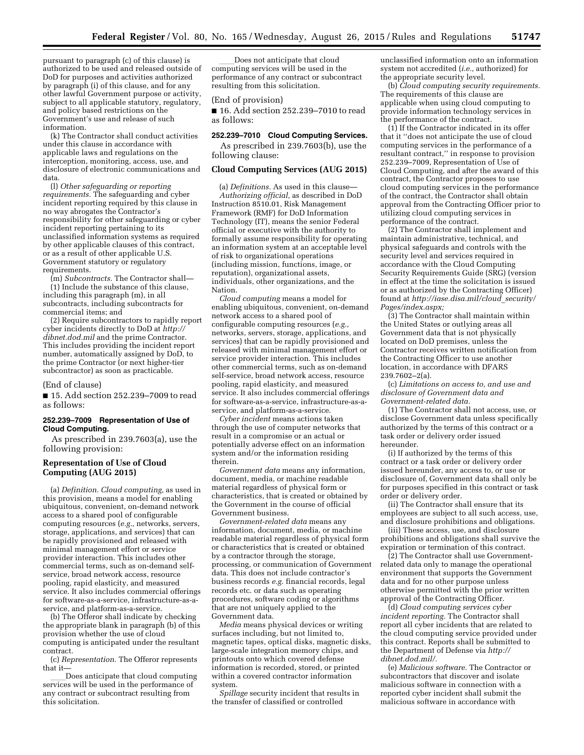pursuant to paragraph (c) of this clause) is authorized to be used and released outside of DoD for purposes and activities authorized by paragraph (i) of this clause, and for any other lawful Government purpose or activity, subject to all applicable statutory, regulatory, and policy based restrictions on the Government's use and release of such information.

(k) The Contractor shall conduct activities under this clause in accordance with applicable laws and regulations on the interception, monitoring, access, use, and disclosure of electronic communications and data.

(l) *Other safeguarding or reporting requirements.* The safeguarding and cyber incident reporting required by this clause in no way abrogates the Contractor's responsibility for other safeguarding or cyber incident reporting pertaining to its unclassified information systems as required by other applicable clauses of this contract, or as a result of other applicable U.S. Government statutory or regulatory requirements.

(m) *Subcontracts.* The Contractor shall—

(1) Include the substance of this clause, including this paragraph (m), in all subcontracts, including subcontracts for commercial items; and

(2) Require subcontractors to rapidly report cyber incidents directly to DoD at *[http://](http://dibnet.dod.mil) [dibnet.dod.mil](http://dibnet.dod.mil)* and the prime Contractor. This includes providing the incident report number, automatically assigned by DoD, to the prime Contractor (or next higher-tier subcontractor) as soon as practicable.

#### (End of clause)

■ 15. Add section 252.239–7009 to read as follows:

### **252.239–7009 Representation of Use of Cloud Computing.**

As prescribed in 239.7603(a), use the following provision:

# **Representation of Use of Cloud Computing (AUG 2015)**

(a) *Definition. Cloud computing,* as used in this provision, means a model for enabling ubiquitous, convenient, on-demand network access to a shared pool of configurable computing resources (*e.g.,* networks, servers, storage, applications, and services) that can be rapidly provisioned and released with minimal management effort or service provider interaction. This includes other commercial terms, such as on-demand selfservice, broad network access, resource pooling, rapid elasticity, and measured service. It also includes commercial offerings for software-as-a-service, infrastructure-as-aservice, and platform-as-a-service.

(b) The Offeror shall indicate by checking the appropriate blank in paragraph (b) of this provision whether the use of cloud computing is anticipated under the resultant contract.

(c) *Representation.* The Offeror represents that it—

Does anticipate that cloud computing services will be used in the performance of any contract or subcontract resulting from this solicitation.

Loes not anticipate that cloud<br>computing services will be used in the performance of any contract or subcontract resulting from this solicitation.

# (End of provision)

■ 16. Add section 252.239-7010 to read as follows:

## **252.239–7010 Cloud Computing Services.**

As prescribed in 239.7603(b), use the following clause:

## **Cloud Computing Services (AUG 2015)**

(a) *Definitions.* As used in this clause— *Authorizing official,* as described in DoD Instruction 8510.01, Risk Management Framework (RMF) for DoD Information Technology (IT), means the senior Federal official or executive with the authority to formally assume responsibility for operating an information system at an acceptable level of risk to organizational operations (including mission, functions, image, or reputation), organizational assets, individuals, other organizations, and the Nation.

*Cloud computing* means a model for enabling ubiquitous, convenient, on-demand network access to a shared pool of configurable computing resources (*e.g.,*  networks, servers, storage, applications, and services) that can be rapidly provisioned and released with minimal management effort or service provider interaction. This includes other commercial terms, such as on-demand self-service, broad network access, resource pooling, rapid elasticity, and measured service. It also includes commercial offerings for software-as-a-service, infrastructure-as-aservice, and platform-as-a-service.

*Cyber incident* means actions taken through the use of computer networks that result in a compromise or an actual or potentially adverse effect on an information system and/or the information residing therein.

*Government data* means any information, document, media, or machine readable material regardless of physical form or characteristics, that is created or obtained by the Government in the course of official Government business.

*Government-related data* means any information, document, media, or machine readable material regardless of physical form or characteristics that is created or obtained by a contractor through the storage, processing, or communication of Government data. This does not include contractor's business records *e.g.* financial records, legal records etc. or data such as operating procedures, software coding or algorithms that are not uniquely applied to the Government data.

*Media* means physical devices or writing surfaces including, but not limited to, magnetic tapes, optical disks, magnetic disks, large-scale integration memory chips, and printouts onto which covered defense information is recorded, stored, or printed within a covered contractor information system.

*Spillage* security incident that results in the transfer of classified or controlled

unclassified information onto an information system not accredited (*i.e.,* authorized) for the appropriate security level.

(b) *Cloud computing security requirements.*  The requirements of this clause are applicable when using cloud computing to provide information technology services in the performance of the contract.

(1) If the Contractor indicated in its offer that it ''does not anticipate the use of cloud computing services in the performance of a resultant contract,'' in response to provision 252.239–7009, Representation of Use of Cloud Computing, and after the award of this contract, the Contractor proposes to use cloud computing services in the performance of the contract, the Contractor shall obtain approval from the Contracting Officer prior to utilizing cloud computing services in performance of the contract.

(2) The Contractor shall implement and maintain administrative, technical, and physical safeguards and controls with the security level and services required in accordance with the Cloud Computing Security Requirements Guide (SRG) (version in effect at the time the solicitation is issued or as authorized by the Contracting Officer) found at *[http://iase.disa.mil/cloud](http://iase.disa.mil/cloud_security/Pages/index.aspx)*\_*security/ [Pages/index.aspx;](http://iase.disa.mil/cloud_security/Pages/index.aspx)* 

(3) The Contractor shall maintain within the United States or outlying areas all Government data that is not physically located on DoD premises, unless the Contractor receives written notification from the Contracting Officer to use another location, in accordance with DFARS 239.7602–2(a).

(c) *Limitations on access to, and use and disclosure of Government data and Government-related data.* 

(1) The Contractor shall not access, use, or disclose Government data unless specifically authorized by the terms of this contract or a task order or delivery order issued hereunder.

(i) If authorized by the terms of this contract or a task order or delivery order issued hereunder, any access to, or use or disclosure of, Government data shall only be for purposes specified in this contract or task order or delivery order.

(ii) The Contractor shall ensure that its employees are subject to all such access, use, and disclosure prohibitions and obligations.

(iii) These access, use, and disclosure prohibitions and obligations shall survive the expiration or termination of this contract.

(2) The Contractor shall use Governmentrelated data only to manage the operational environment that supports the Government data and for no other purpose unless otherwise permitted with the prior written approval of the Contracting Officer.

(d) *Cloud computing services cyber incident reporting.* The Contractor shall report all cyber incidents that are related to the cloud computing service provided under this contract. Reports shall be submitted to the Department of Defense via *[http://](http://dibnet.dod.mil/) [dibnet.dod.mil/.](http://dibnet.dod.mil/)* 

(e) *Malicious software.* The Contractor or subcontractors that discover and isolate malicious software in connection with a reported cyber incident shall submit the malicious software in accordance with